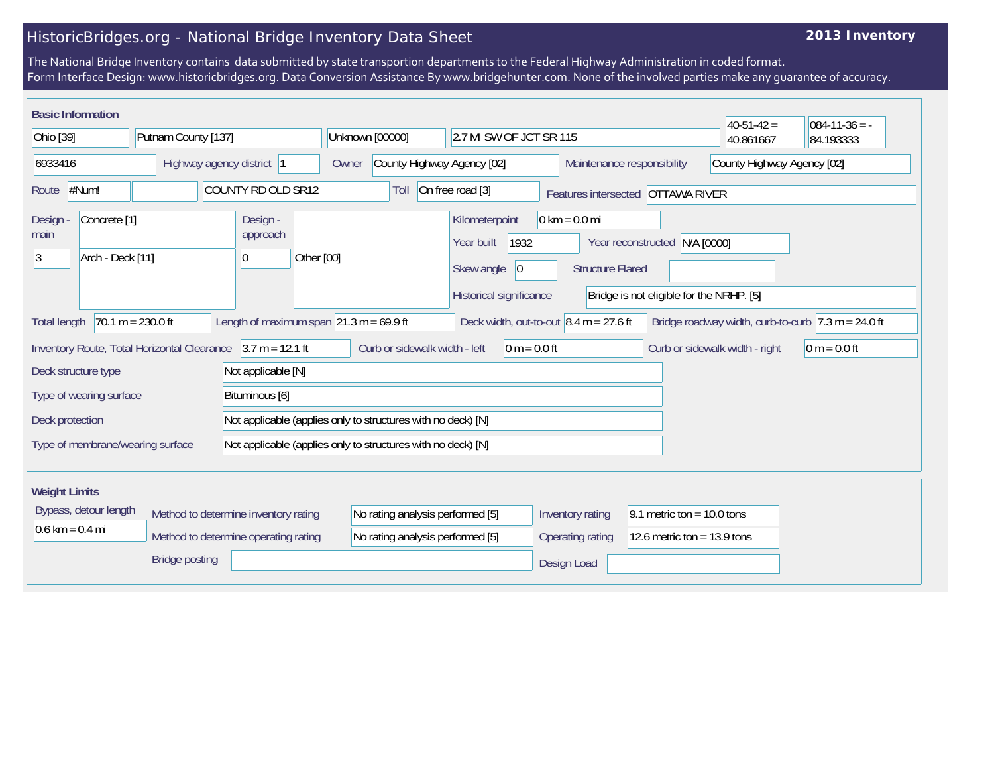## HistoricBridges.org - National Bridge Inventory Data Sheet

## **2013 Inventory**

The National Bridge Inventory contains data submitted by state transportion departments to the Federal Highway Administration in coded format. Form Interface Design: www.historicbridges.org. Data Conversion Assistance By www.bridgehunter.com. None of the involved parties make any guarantee of accuracy.

| <b>Basic Information</b>                                                                                                                                                                                             |                                             |                                             |                                  |                                      |            |                                                                                   |                                                              |                         |                                                                                      |                              |                                                            |                               |                                                                           | $ 40-51-42 $ | $084 - 11 - 36 = -$ |
|----------------------------------------------------------------------------------------------------------------------------------------------------------------------------------------------------------------------|---------------------------------------------|---------------------------------------------|----------------------------------|--------------------------------------|------------|-----------------------------------------------------------------------------------|--------------------------------------------------------------|-------------------------|--------------------------------------------------------------------------------------|------------------------------|------------------------------------------------------------|-------------------------------|---------------------------------------------------------------------------|--------------|---------------------|
| Ohio [39]                                                                                                                                                                                                            |                                             |                                             | Putnam County [137]              |                                      |            | Unknown [00000]                                                                   |                                                              | 2.7 MI SW OF JCT SR 115 |                                                                                      |                              | 40.861667                                                  | 84.193333                     |                                                                           |              |                     |
| 6933416                                                                                                                                                                                                              |                                             |                                             | Highway agency district  1       |                                      | Owner      | County Highway Agency [02]                                                        |                                                              |                         |                                                                                      | Maintenance responsibility   |                                                            | County Highway Agency [02]    |                                                                           |              |                     |
| Route                                                                                                                                                                                                                | #Num!                                       |                                             |                                  | COUNTY RD OLD SR12                   |            |                                                                                   | Toll                                                         |                         | On free road [3]                                                                     |                              | Features intersected OTTAWA RIVER                          |                               |                                                                           |              |                     |
| <b>Design</b><br>main<br>3                                                                                                                                                                                           | Concrete <sup>[1]</sup><br>Arch - Deck [11] |                                             |                                  | Design -<br>approach<br>10           | Other [00] |                                                                                   |                                                              |                         | Kilometerpoint<br>1932<br>Year built<br>Skew angle<br> 0 <br>Historical significance |                              | $0 \text{ km} = 0.0 \text{ mi}$<br><b>Structure Flared</b> |                               | Year reconstructed N/A [0000]<br>Bridge is not eligible for the NRHP. [5] |              |                     |
| $70.1 m = 230.0 ft$<br>Length of maximum span $\sqrt{21.3}$ m = 69.9 ft<br>Deck width, out-to-out $8.4$ m = 27.6 ft<br>Bridge roadway width, curb-to-curb $ 7.3 \text{ m} = 24.0 \text{ ft} $<br><b>Total length</b> |                                             |                                             |                                  |                                      |            |                                                                                   |                                                              |                         |                                                                                      |                              |                                                            |                               |                                                                           |              |                     |
|                                                                                                                                                                                                                      |                                             | Inventory Route, Total Horizontal Clearance |                                  | $3.7 m = 12.1 ft$                    |            | Curb or sidewalk width - left<br>$0 m = 0.0 ft$<br>Curb or sidewalk width - right |                                                              |                         |                                                                                      |                              | $ 0 m = 0.0 ft$                                            |                               |                                                                           |              |                     |
| Deck structure type                                                                                                                                                                                                  |                                             |                                             |                                  | Not applicable [N]                   |            |                                                                                   |                                                              |                         |                                                                                      |                              |                                                            |                               |                                                                           |              |                     |
|                                                                                                                                                                                                                      | Type of wearing surface                     |                                             |                                  | Bituminous [6]                       |            |                                                                                   |                                                              |                         |                                                                                      |                              |                                                            |                               |                                                                           |              |                     |
| Deck protection                                                                                                                                                                                                      |                                             |                                             |                                  |                                      |            |                                                                                   | Not applicable (applies only to structures with no deck) [N] |                         |                                                                                      |                              |                                                            |                               |                                                                           |              |                     |
| Not applicable (applies only to structures with no deck) [N]<br>Type of membrane/wearing surface                                                                                                                     |                                             |                                             |                                  |                                      |            |                                                                                   |                                                              |                         |                                                                                      |                              |                                                            |                               |                                                                           |              |                     |
| <b>Weight Limits</b>                                                                                                                                                                                                 |                                             |                                             |                                  |                                      |            |                                                                                   |                                                              |                         |                                                                                      |                              |                                                            |                               |                                                                           |              |                     |
| Bypass, detour length<br>Method to determine inventory rating                                                                                                                                                        |                                             |                                             | No rating analysis performed [5] |                                      |            |                                                                                   |                                                              | Inventory rating        |                                                                                      | 9.1 metric ton = $10.0$ tons |                                                            |                               |                                                                           |              |                     |
| $0.6 \text{ km} = 0.4 \text{ mi}$                                                                                                                                                                                    |                                             |                                             |                                  | Method to determine operating rating |            | No rating analysis performed [5]                                                  |                                                              |                         |                                                                                      | <b>Operating rating</b>      |                                                            | 12.6 metric ton = $13.9$ tons |                                                                           |              |                     |
| <b>Bridge posting</b>                                                                                                                                                                                                |                                             |                                             |                                  |                                      |            |                                                                                   |                                                              | Design Load             |                                                                                      |                              |                                                            |                               |                                                                           |              |                     |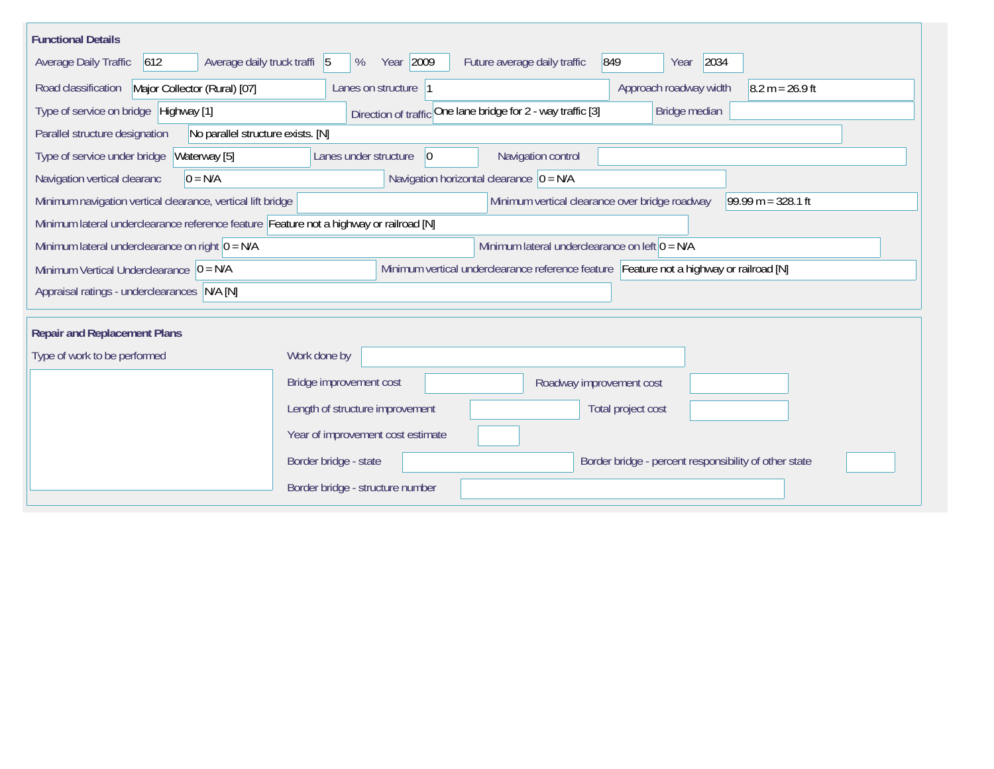| <b>Functional Details</b>                                                                                                             |                                                                                |  |  |  |  |  |  |
|---------------------------------------------------------------------------------------------------------------------------------------|--------------------------------------------------------------------------------|--|--|--|--|--|--|
| 612<br>Average daily truck traffi 5<br>Average Daily Traffic                                                                          | Year 2009<br>2034<br>Future average daily traffic<br>849<br>%<br>Year          |  |  |  |  |  |  |
| Road classification<br>Major Collector (Rural) [07]                                                                                   | Approach roadway width<br>Lanes on structure  1<br>$8.2 m = 26.9 ft$           |  |  |  |  |  |  |
| Type of service on bridge Highway [1]                                                                                                 | Direction of traffic One lane bridge for 2 - way traffic [3]<br>Bridge median  |  |  |  |  |  |  |
| Parallel structure designation<br>No parallel structure exists. [N]                                                                   |                                                                                |  |  |  |  |  |  |
| Waterway [5]<br>Type of service under bridge                                                                                          | Navigation control<br>Lanes under structure<br> 0                              |  |  |  |  |  |  |
| $0 = N/A$<br>Navigation vertical clearanc                                                                                             | Navigation horizontal clearance $ 0 = N/A$                                     |  |  |  |  |  |  |
| Minimum navigation vertical clearance, vertical lift bridge                                                                           | Minimum vertical clearance over bridge roadway<br>$99.99 m = 328.1 ft$         |  |  |  |  |  |  |
| Minimum lateral underclearance reference feature Feature not a highway or railroad [N]                                                |                                                                                |  |  |  |  |  |  |
| Minimum lateral underclearance on right $0 = N/A$                                                                                     | Minimum lateral underclearance on left $0 = N/A$                               |  |  |  |  |  |  |
| Minimum vertical underclearance reference feature Feature not a highway or railroad [N]<br>Minimum Vertical Underclearance $ 0 = N/A$ |                                                                                |  |  |  |  |  |  |
| Appraisal ratings - underclearances N/A [N]                                                                                           |                                                                                |  |  |  |  |  |  |
|                                                                                                                                       |                                                                                |  |  |  |  |  |  |
| <b>Repair and Replacement Plans</b>                                                                                                   |                                                                                |  |  |  |  |  |  |
| Type of work to be performed                                                                                                          | Work done by                                                                   |  |  |  |  |  |  |
|                                                                                                                                       | Bridge improvement cost<br>Roadway improvement cost                            |  |  |  |  |  |  |
|                                                                                                                                       | Length of structure improvement<br>Total project cost                          |  |  |  |  |  |  |
|                                                                                                                                       | Year of improvement cost estimate                                              |  |  |  |  |  |  |
|                                                                                                                                       | Border bridge - state<br>Border bridge - percent responsibility of other state |  |  |  |  |  |  |
|                                                                                                                                       | Border bridge - structure number                                               |  |  |  |  |  |  |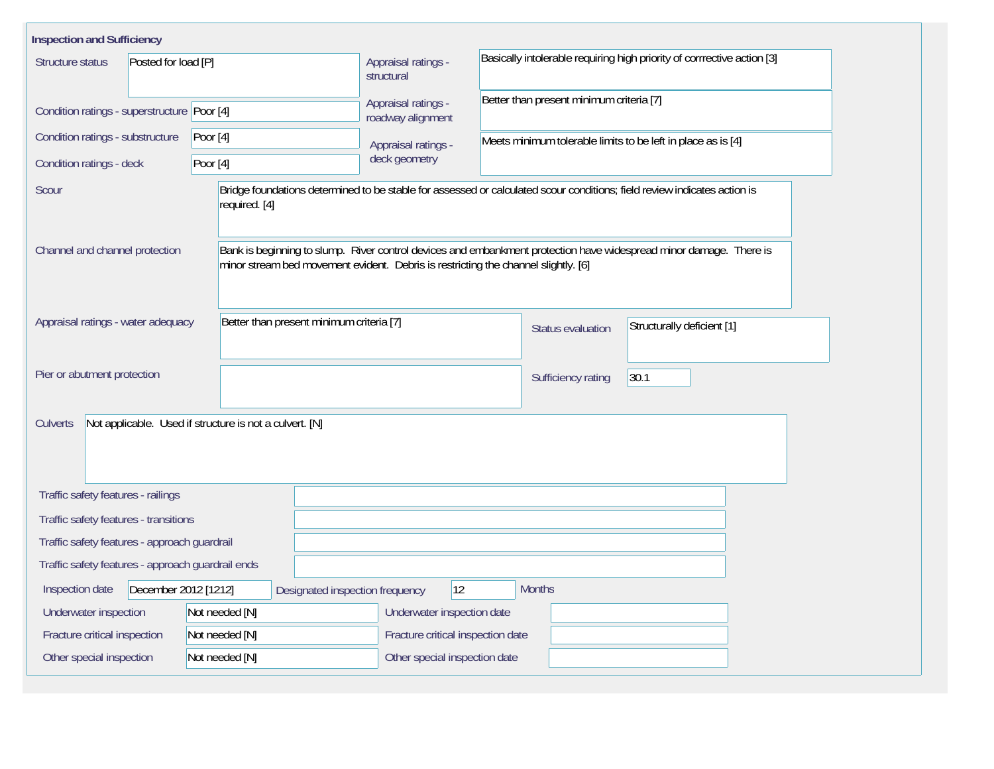| <b>Inspection and Sufficiency</b>                 |                                                                                    |                                                                                                                          |                                                                                                                    |  |  |  |  |  |  |
|---------------------------------------------------|------------------------------------------------------------------------------------|--------------------------------------------------------------------------------------------------------------------------|--------------------------------------------------------------------------------------------------------------------|--|--|--|--|--|--|
| Posted for load [P]<br>Structure status           |                                                                                    | Appraisal ratings -<br>structural                                                                                        | Basically intolerable requiring high priority of corrrective action [3]                                            |  |  |  |  |  |  |
| Condition ratings - superstructure Poor [4]       |                                                                                    | Appraisal ratings -<br>roadway alignment                                                                                 | Better than present minimum criteria [7]                                                                           |  |  |  |  |  |  |
| Condition ratings - substructure                  | Poor $[4]$                                                                         | Appraisal ratings -                                                                                                      | Meets minimum tolerable limits to be left in place as is [4]                                                       |  |  |  |  |  |  |
| Condition ratings - deck                          | Poor $[4]$                                                                         | deck geometry                                                                                                            |                                                                                                                    |  |  |  |  |  |  |
| Scour                                             | required. [4]                                                                      | Bridge foundations determined to be stable for assessed or calculated scour conditions; field review indicates action is |                                                                                                                    |  |  |  |  |  |  |
| Channel and channel protection                    | minor stream bed movement evident. Debris is restricting the channel slightly. [6] |                                                                                                                          | Bank is beginning to slump. River control devices and embankment protection have widespread minor damage. There is |  |  |  |  |  |  |
| Appraisal ratings - water adequacy                | Better than present minimum criteria [7]                                           |                                                                                                                          | Structurally deficient [1]<br>Status evaluation                                                                    |  |  |  |  |  |  |
| Pier or abutment protection                       |                                                                                    |                                                                                                                          | 30.1<br>Sufficiency rating                                                                                         |  |  |  |  |  |  |
| Culverts                                          | Not applicable. Used if structure is not a culvert. [N]                            |                                                                                                                          |                                                                                                                    |  |  |  |  |  |  |
| Traffic safety features - railings                |                                                                                    |                                                                                                                          |                                                                                                                    |  |  |  |  |  |  |
| Traffic safety features - transitions             |                                                                                    |                                                                                                                          |                                                                                                                    |  |  |  |  |  |  |
| Traffic safety features - approach guardrail      |                                                                                    |                                                                                                                          |                                                                                                                    |  |  |  |  |  |  |
| Traffic safety features - approach guardrail ends |                                                                                    |                                                                                                                          |                                                                                                                    |  |  |  |  |  |  |
| December 2012 [1212]<br>Inspection date           | Designated inspection frequency                                                    | 12                                                                                                                       | <b>Months</b>                                                                                                      |  |  |  |  |  |  |
| Underwater inspection                             | Not needed [N]                                                                     | Underwater inspection date                                                                                               |                                                                                                                    |  |  |  |  |  |  |
| Fracture critical inspection                      | Not needed [N]                                                                     | Fracture critical inspection date                                                                                        |                                                                                                                    |  |  |  |  |  |  |
| Other special inspection                          | Not needed [N]                                                                     | Other special inspection date                                                                                            |                                                                                                                    |  |  |  |  |  |  |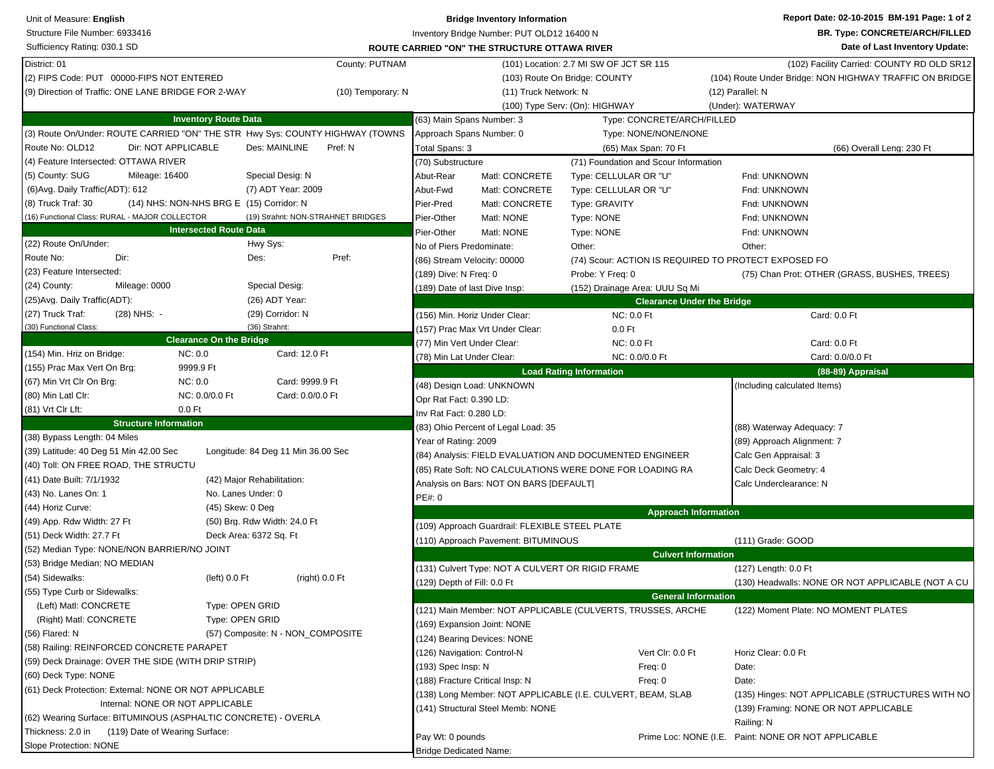| Structure File Number: 6933416<br>Inventory Bridge Number: PUT OLD12 16400 N                                                            | <b>BR. Type: CONCRETE/ARCH/FILLED</b>                   |
|-----------------------------------------------------------------------------------------------------------------------------------------|---------------------------------------------------------|
|                                                                                                                                         |                                                         |
| Sufficiency Rating: 030.1 SD<br><b>ROUTE CARRIED "ON" THE STRUCTURE OTTAWA RIVER</b>                                                    | Date of Last Inventory Update:                          |
| District: 01<br>County: PUTNAM<br>(101) Location: 2.7 MI SW OF JCT SR 115                                                               | (102) Facility Carried: COUNTY RD OLD SR12              |
| (2) FIPS Code: PUT 00000-FIPS NOT ENTERED<br>(103) Route On Bridge: COUNTY                                                              | (104) Route Under Bridge: NON HIGHWAY TRAFFIC ON BRIDGE |
| (9) Direction of Traffic: ONE LANE BRIDGE FOR 2-WAY<br>(10) Temporary: N<br>(11) Truck Network: N                                       | (12) Parallel: N                                        |
| (100) Type Serv: (On): HIGHWAY                                                                                                          | (Under): WATERWAY                                       |
| <b>Inventory Route Data</b><br>(63) Main Spans Number: 3<br>Type: CONCRETE/ARCH/FILLED                                                  |                                                         |
| (3) Route On/Under: ROUTE CARRIED "ON" THE STR Hwy Sys: COUNTY HIGHWAY (TOWNS<br>Approach Spans Number: 0<br>Type: NONE/NONE/NONE       |                                                         |
| Route No: OLD12<br>Dir: NOT APPLICABLE<br>Des: MAINLINE<br>Pref: N<br>Total Spans: 3<br>(65) Max Span: 70 Ft                            | (66) Overall Leng: 230 Ft                               |
| (4) Feature Intersected: OTTAWA RIVER<br>(70) Substructure<br>(71) Foundation and Scour Information                                     |                                                         |
| (5) County: SUG<br>Mileage: 16400<br>Special Desig: N<br>Abut-Rear<br>Matl: CONCRETE<br>Type: CELLULAR OR "U"                           | Fnd: UNKNOWN                                            |
| (6) Avg. Daily Traffic (ADT): 612<br>(7) ADT Year: 2009<br>Abut-Fwd<br>Matl: CONCRETE<br>Type: CELLULAR OR "U"                          | Fnd: UNKNOWN                                            |
| (8) Truck Traf: 30<br>(14) NHS: NON-NHS BRG E (15) Corridor: N<br>Pier-Pred<br>Matl: CONCRETE<br>Type: GRAVITY                          | Fnd: UNKNOWN                                            |
| (16) Functional Class: RURAL - MAJOR COLLECTOR<br>(19) Strahnt: NON-STRAHNET BRIDGES<br>Pier-Other<br>Matl: NONE<br>Type: NONE          | Fnd: UNKNOWN                                            |
| <b>Intersected Route Data</b><br>Pier-Other<br>Matl: NONE<br>Type: NONE                                                                 | Fnd: UNKNOWN                                            |
| (22) Route On/Under:<br>Hwy Sys:<br>Other:<br>No of Piers Predominate:                                                                  | Other:                                                  |
| Pref:<br>Route No:<br>Dir:<br>Des:<br>(74) Scour: ACTION IS REQUIRED TO PROTECT EXPOSED FO<br>(86) Stream Velocity: 00000               |                                                         |
| (23) Feature Intersected:<br>(189) Dive: N Freq: 0<br>Probe: Y Freq: 0                                                                  | (75) Chan Prot: OTHER (GRASS, BUSHES, TREES)            |
| (24) County:<br>Special Desig:<br>Mileage: 0000<br>(189) Date of last Dive Insp:<br>(152) Drainage Area: UUU Sq Mi                      |                                                         |
| (25) Avg. Daily Traffic (ADT):<br>(26) ADT Year:<br><b>Clearance Under the Bridge</b>                                                   |                                                         |
| (27) Truck Traf:<br>(28) NHS: -<br>(29) Corridor: N<br><b>NC: 0.0 Ft</b><br>(156) Min. Horiz Under Clear:                               | Card: 0.0 Ft                                            |
| (36) Strahnt:<br>(30) Functional Class:<br>(157) Prac Max Vrt Under Clear:<br>$0.0$ Ft                                                  |                                                         |
| <b>Clearance On the Bridge</b><br>(77) Min Vert Under Clear:<br>NC: 0.0 Ft                                                              | Card: 0.0 Ft                                            |
| NC: 0.0<br>Card: 12.0 Ft<br>(154) Min. Hriz on Bridge:<br>(78) Min Lat Under Clear:<br>NC: 0.0/0.0 Ft                                   | Card: 0.0/0.0 Ft                                        |
| 9999.9 Ft<br>(155) Prac Max Vert On Brg:<br><b>Load Rating Information</b>                                                              | (88-89) Appraisal                                       |
| (67) Min Vrt Clr On Brg:<br>NC:0.0<br>Card: 9999.9 Ft<br>(48) Design Load: UNKNOWN                                                      | (Including calculated Items)                            |
| (80) Min Latl Clr:<br>NC: 0.0/0.0 Ft<br>Card: 0.0/0.0 Ft<br>Opr Rat Fact: 0.390 LD:                                                     |                                                         |
| (81) Vrt Clr Lft:<br>$0.0$ Ft<br>Inv Rat Fact: 0.280 LD:                                                                                |                                                         |
| <b>Structure Information</b><br>(83) Ohio Percent of Legal Load: 35                                                                     | (88) Waterway Adequacy: 7                               |
| (38) Bypass Length: 04 Miles<br>Year of Rating: 2009                                                                                    | (89) Approach Alignment: 7                              |
| (39) Latitude: 40 Deg 51 Min 42.00 Sec<br>Longitude: 84 Deg 11 Min 36.00 Sec<br>(84) Analysis: FIELD EVALUATION AND DOCUMENTED ENGINEER | Calc Gen Appraisal: 3                                   |
| (40) Toll: ON FREE ROAD, THE STRUCTU<br>(85) Rate Soft: NO CALCULATIONS WERE DONE FOR LOADING RA                                        | Calc Deck Geometry: 4                                   |
| (41) Date Built: 7/1/1932<br>(42) Major Rehabilitation:<br>Analysis on Bars: NOT ON BARS [DEFAULT]                                      | Calc Underclearance: N                                  |
| (43) No. Lanes On: 1<br>No. Lanes Under: 0<br>PE#: 0                                                                                    |                                                         |
| (44) Horiz Curve:<br>(45) Skew: 0 Deg<br><b>Approach Information</b>                                                                    |                                                         |
| (49) App. Rdw Width: 27 Ft<br>(50) Brg. Rdw Width: 24.0 Ft<br>(109) Approach Guardrail: FLEXIBLE STEEL PLATE                            |                                                         |
| (51) Deck Width: 27.7 Ft<br>Deck Area: 6372 Sq. Ft<br>(110) Approach Pavement: BITUMINOUS                                               | (111) Grade: GOOD                                       |
| (52) Median Type: NONE/NON BARRIER/NO JOINT<br><b>Culvert Information</b>                                                               |                                                         |
| (53) Bridge Median: NO MEDIAN<br>(131) Culvert Type: NOT A CULVERT OR RIGID FRAME                                                       | (127) Length: 0.0 Ft                                    |
| (54) Sidewalks:<br>(right) 0.0 Ft<br>(left) $0.0$ Ft<br>$(129)$ Depth of Fill: 0.0 Ft                                                   | (130) Headwalls: NONE OR NOT APPLICABLE (NOT A CU       |
| (55) Type Curb or Sidewalks:<br><b>General Information</b>                                                                              |                                                         |
| (Left) Matl: CONCRETE<br>Type: OPEN GRID<br>(121) Main Member: NOT APPLICABLE (CULVERTS, TRUSSES, ARCHE                                 | (122) Moment Plate: NO MOMENT PLATES                    |
| Type: OPEN GRID<br>(Right) Matl: CONCRETE<br>(169) Expansion Joint: NONE                                                                |                                                         |
| (56) Flared: N<br>(57) Composite: N - NON_COMPOSITE<br>(124) Bearing Devices: NONE                                                      |                                                         |
| (58) Railing: REINFORCED CONCRETE PARAPET<br>(126) Navigation: Control-N<br>Vert Clr: 0.0 Ft                                            | Horiz Clear: 0.0 Ft                                     |
| (59) Deck Drainage: OVER THE SIDE (WITH DRIP STRIP)<br>(193) Spec Insp: N<br>Freq: 0                                                    | Date:                                                   |
| (60) Deck Type: NONE<br>(188) Fracture Critical Insp: N<br>Freq: 0                                                                      | Date:                                                   |
| (61) Deck Protection: External: NONE OR NOT APPLICABLE<br>(138) Long Member: NOT APPLICABLE (I.E. CULVERT, BEAM, SLAB                   | (135) Hinges: NOT APPLICABLE (STRUCTURES WITH NO        |
| Internal: NONE OR NOT APPLICABLE<br>(141) Structural Steel Memb: NONE                                                                   | (139) Framing: NONE OR NOT APPLICABLE                   |
| (62) Wearing Surface: BITUMINOUS (ASPHALTIC CONCRETE) - OVERLA                                                                          | Railing: N                                              |
| Thickness: 2.0 in (119) Date of Wearing Surface:<br>Pay Wt: 0 pounds                                                                    | Prime Loc: NONE (I.E. Paint: NONE OR NOT APPLICABLE     |
| Slope Protection: NONE<br><b>Bridge Dedicated Name:</b>                                                                                 |                                                         |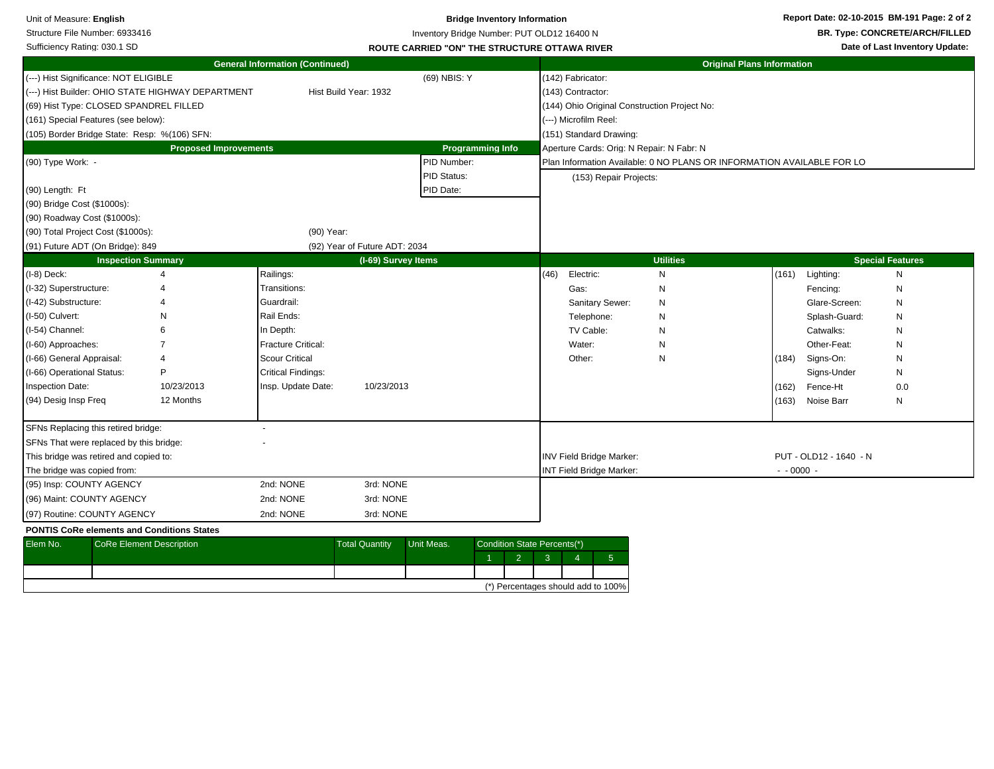| Unit of Measure: English<br>Structure File Number: 6933416<br>Sufficiency Rating: 030.1 SD                                                                                                                                                      |                                                                       |                                                                                                                                                               |                                     |                                         | <b>Bridge Inventory Information</b><br>Inventory Bridge Number: PUT OLD12 16400 N<br><b>ROUTE CARRIED "ON" THE STRUCTURE OTTAWA RIVER</b> |                                        |                                                                                     |                                                                        |                                   |                                                                                                                                           | Report Date: 02-10-2015 BM-191 Page: 2 of 2<br><b>BR. Type: CONCRETE/ARCH/FILLED</b><br>Date of Last Inventory Update: |
|-------------------------------------------------------------------------------------------------------------------------------------------------------------------------------------------------------------------------------------------------|-----------------------------------------------------------------------|---------------------------------------------------------------------------------------------------------------------------------------------------------------|-------------------------------------|-----------------------------------------|-------------------------------------------------------------------------------------------------------------------------------------------|----------------------------------------|-------------------------------------------------------------------------------------|------------------------------------------------------------------------|-----------------------------------|-------------------------------------------------------------------------------------------------------------------------------------------|------------------------------------------------------------------------------------------------------------------------|
|                                                                                                                                                                                                                                                 |                                                                       | <b>General Information (Continued)</b>                                                                                                                        |                                     |                                         |                                                                                                                                           |                                        |                                                                                     |                                                                        | <b>Original Plans Information</b> |                                                                                                                                           |                                                                                                                        |
| (---) Hist Significance: NOT ELIGIBLE<br>(69) Hist Type: CLOSED SPANDREL FILLED<br>(161) Special Features (see below):<br>(105) Border Bridge State: Resp: %(106) SFN:                                                                          | (---) Hist Builder: OHIO STATE HIGHWAY DEPARTMENT                     |                                                                                                                                                               | Hist Build Year: 1932               | (69) NBIS: Y                            |                                                                                                                                           | (142) Fabricator:<br>(143) Contractor: | (---) Microfilm Reel:<br>(151) Standard Drawing:                                    | (144) Ohio Original Construction Project No:                           |                                   |                                                                                                                                           |                                                                                                                        |
|                                                                                                                                                                                                                                                 | <b>Proposed Improvements</b>                                          |                                                                                                                                                               |                                     |                                         | <b>Programming Info</b>                                                                                                                   |                                        |                                                                                     | Aperture Cards: Orig: N Repair: N Fabr: N                              |                                   |                                                                                                                                           |                                                                                                                        |
| (90) Type Work: -<br>(90) Length: Ft<br>(90) Bridge Cost (\$1000s):                                                                                                                                                                             |                                                                       |                                                                                                                                                               |                                     | PID Number:<br>PID Status:<br>PID Date: |                                                                                                                                           |                                        | (153) Repair Projects:                                                              | Plan Information Available: 0 NO PLANS OR INFORMATION AVAILABLE FOR LO |                                   |                                                                                                                                           |                                                                                                                        |
| (90) Roadway Cost (\$1000s):                                                                                                                                                                                                                    |                                                                       |                                                                                                                                                               |                                     |                                         |                                                                                                                                           |                                        |                                                                                     |                                                                        |                                   |                                                                                                                                           |                                                                                                                        |
| (90) Total Project Cost (\$1000s):<br>(91) Future ADT (On Bridge): 849                                                                                                                                                                          |                                                                       | (90) Year:                                                                                                                                                    | (92) Year of Future ADT: 2034       |                                         |                                                                                                                                           |                                        |                                                                                     |                                                                        |                                   |                                                                                                                                           |                                                                                                                        |
|                                                                                                                                                                                                                                                 | <b>Inspection Summary</b>                                             |                                                                                                                                                               | (I-69) Survey Items                 |                                         |                                                                                                                                           |                                        |                                                                                     | <b>Utilities</b>                                                       |                                   |                                                                                                                                           | <b>Special Features</b>                                                                                                |
| $(1-8)$ Deck:<br>(I-32) Superstructure:<br>(I-42) Substructure:<br>(I-50) Culvert:<br>(I-54) Channel:<br>(I-60) Approaches:<br>(I-66) General Appraisal:<br>(I-66) Operational Status:<br>Inspection Date:<br>(94) Desig Insp Freq              | $\overline{4}$<br>N<br>$\overline{4}$<br>P<br>10/23/2013<br>12 Months | Railings:<br>Transitions:<br>Guardrail:<br>Rail Ends:<br>In Depth:<br>Fracture Critical:<br><b>Scour Critical</b><br>Critical Findings:<br>Insp. Update Date: | 10/23/2013                          |                                         |                                                                                                                                           | (46)                                   | Electric:<br>Gas:<br>Sanitary Sewer:<br>Telephone:<br>TV Cable:<br>Water:<br>Other: | ${\sf N}$<br>N<br>N<br>N<br>N<br>N<br>N                                | (161)<br>(184)<br>(162)<br>(163)  | Lighting:<br>Fencing:<br>Glare-Screen:<br>Splash-Guard:<br>Catwalks:<br>Other-Feat:<br>Signs-On:<br>Signs-Under<br>Fence-Ht<br>Noise Barr | N<br>N<br>N<br>N<br>N<br>N<br>N<br>N<br>0.0<br>N                                                                       |
| SFNs Replacing this retired bridge:<br>SFNs That were replaced by this bridge:<br>This bridge was retired and copied to:<br>The bridge was copied from:<br>(95) Insp: COUNTY AGENCY<br>(96) Maint: COUNTY AGENCY<br>(97) Routine: COUNTY AGENCY |                                                                       | 2nd: NONE<br>2nd: NONE<br>2nd: NONE                                                                                                                           | 3rd: NONE<br>3rd: NONE<br>3rd: NONE |                                         |                                                                                                                                           |                                        | <b>INV Field Bridge Marker:</b><br>INT Field Bridge Marker:                         |                                                                        |                                   | PUT - OLD12 - 1640 - N<br>$- 0000 -$                                                                                                      |                                                                                                                        |
| <b>PONTIS CoRe elements and Conditions States</b><br>Elem No.                                                                                                                                                                                   | <b>CoRe Element Description</b>                                       |                                                                                                                                                               | <b>Total Quantity</b>               | Unit Meas.                              | Condition State Percents(*)<br>$\overline{2}$                                                                                             | $\mathbf{3}$<br>$\overline{4}$         | 5 <sub>5</sub>                                                                      |                                                                        |                                   |                                                                                                                                           |                                                                                                                        |

|  |  |  | (*) Percentages should add to 100% |
|--|--|--|------------------------------------|